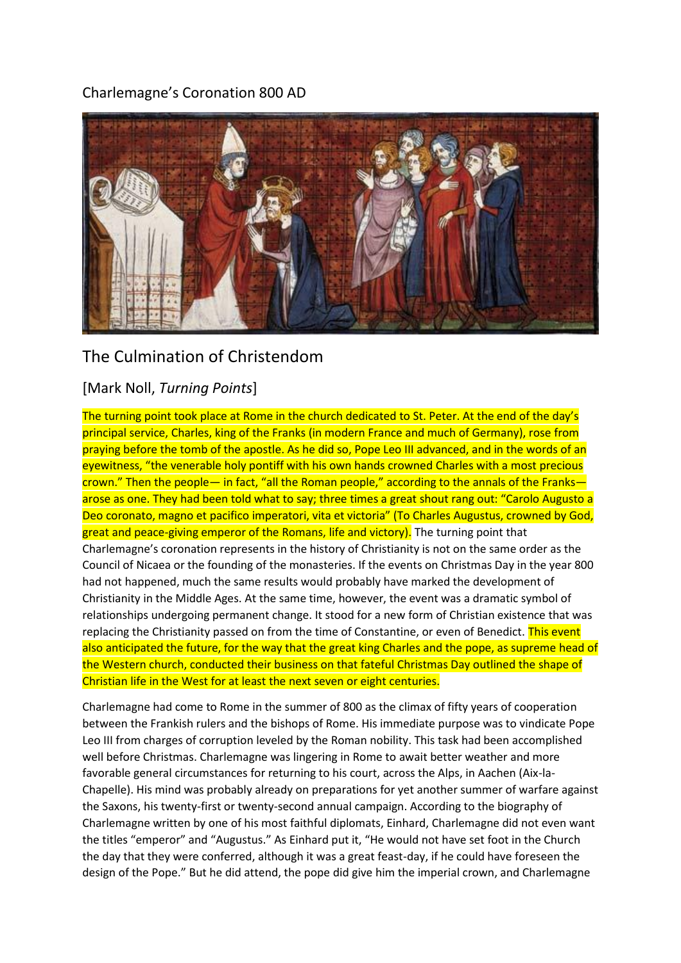# Charlemagne's Coronation 800 AD



# The Culmination of Christendom

# [Mark Noll, *Turning Points*]

The turning point took place at Rome in the church dedicated to St. Peter. At the end of the day's principal service, Charles, king of the Franks (in modern France and much of Germany), rose from praying before the tomb of the apostle. As he did so, Pope Leo III advanced, and in the words of an eyewitness, "the venerable holy pontiff with his own hands crowned Charles with a most precious crown." Then the people— in fact, "all the Roman people," according to the annals of the Franks arose as one. They had been told what to say; three times a great shout rang out: "Carolo Augusto a Deo coronato, magno et pacifico imperatori, vita et victoria" (To Charles Augustus, crowned by God, great and peace-giving emperor of the Romans, life and victory). The turning point that Charlemagne's coronation represents in the history of Christianity is not on the same order as the Council of Nicaea or the founding of the monasteries. If the events on Christmas Day in the year 800 had not happened, much the same results would probably have marked the development of Christianity in the Middle Ages. At the same time, however, the event was a dramatic symbol of relationships undergoing permanent change. It stood for a new form of Christian existence that was replacing the Christianity passed on from the time of Constantine, or even of Benedict. This event also anticipated the future, for the way that the great king Charles and the pope, as supreme head of the Western church, conducted their business on that fateful Christmas Day outlined the shape of Christian life in the West for at least the next seven or eight centuries.

Charlemagne had come to Rome in the summer of 800 as the climax of fifty years of cooperation between the Frankish rulers and the bishops of Rome. His immediate purpose was to vindicate Pope Leo III from charges of corruption leveled by the Roman nobility. This task had been accomplished well before Christmas. Charlemagne was lingering in Rome to await better weather and more favorable general circumstances for returning to his court, across the Alps, in Aachen (Aix-la-Chapelle). His mind was probably already on preparations for yet another summer of warfare against the Saxons, his twenty-first or twenty-second annual campaign. According to the biography of Charlemagne written by one of his most faithful diplomats, Einhard, Charlemagne did not even want the titles "emperor" and "Augustus." As Einhard put it, "He would not have set foot in the Church the day that they were conferred, although it was a great feast-day, if he could have foreseen the design of the Pope." But he did attend, the pope did give him the imperial crown, and Charlemagne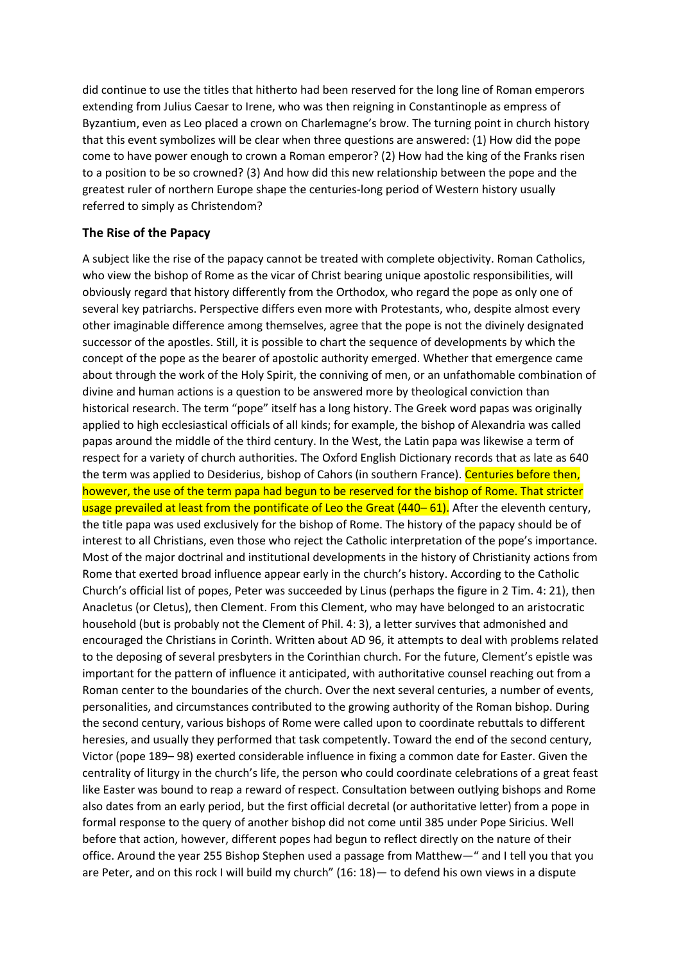did continue to use the titles that hitherto had been reserved for the long line of Roman emperors extending from Julius Caesar to Irene, who was then reigning in Constantinople as empress of Byzantium, even as Leo placed a crown on Charlemagne's brow. The turning point in church history that this event symbolizes will be clear when three questions are answered: (1) How did the pope come to have power enough to crown a Roman emperor? (2) How had the king of the Franks risen to a position to be so crowned? (3) And how did this new relationship between the pope and the greatest ruler of northern Europe shape the centuries-long period of Western history usually referred to simply as Christendom?

## **The Rise of the Papacy**

A subject like the rise of the papacy cannot be treated with complete objectivity. Roman Catholics, who view the bishop of Rome as the vicar of Christ bearing unique apostolic responsibilities, will obviously regard that history differently from the Orthodox, who regard the pope as only one of several key patriarchs. Perspective differs even more with Protestants, who, despite almost every other imaginable difference among themselves, agree that the pope is not the divinely designated successor of the apostles. Still, it is possible to chart the sequence of developments by which the concept of the pope as the bearer of apostolic authority emerged. Whether that emergence came about through the work of the Holy Spirit, the conniving of men, or an unfathomable combination of divine and human actions is a question to be answered more by theological conviction than historical research. The term "pope" itself has a long history. The Greek word papas was originally applied to high ecclesiastical officials of all kinds; for example, the bishop of Alexandria was called papas around the middle of the third century. In the West, the Latin papa was likewise a term of respect for a variety of church authorities. The Oxford English Dictionary records that as late as 640 the term was applied to Desiderius, bishop of Cahors (in southern France). Centuries before then, however, the use of the term papa had begun to be reserved for the bishop of Rome. That stricter usage prevailed at least from the pontificate of Leo the Great (440– 61). After the eleventh century, the title papa was used exclusively for the bishop of Rome. The history of the papacy should be of interest to all Christians, even those who reject the Catholic interpretation of the pope's importance. Most of the major doctrinal and institutional developments in the history of Christianity actions from Rome that exerted broad influence appear early in the church's history. According to the Catholic Church's official list of popes, Peter was succeeded by Linus (perhaps the figure in 2 Tim. 4: 21), then Anacletus (or Cletus), then Clement. From this Clement, who may have belonged to an aristocratic household (but is probably not the Clement of Phil. 4: 3), a letter survives that admonished and encouraged the Christians in Corinth. Written about AD 96, it attempts to deal with problems related to the deposing of several presbyters in the Corinthian church. For the future, Clement's epistle was important for the pattern of influence it anticipated, with authoritative counsel reaching out from a Roman center to the boundaries of the church. Over the next several centuries, a number of events, personalities, and circumstances contributed to the growing authority of the Roman bishop. During the second century, various bishops of Rome were called upon to coordinate rebuttals to different heresies, and usually they performed that task competently. Toward the end of the second century, Victor (pope 189– 98) exerted considerable influence in fixing a common date for Easter. Given the centrality of liturgy in the church's life, the person who could coordinate celebrations of a great feast like Easter was bound to reap a reward of respect. Consultation between outlying bishops and Rome also dates from an early period, but the first official decretal (or authoritative letter) from a pope in formal response to the query of another bishop did not come until 385 under Pope Siricius. Well before that action, however, different popes had begun to reflect directly on the nature of their office. Around the year 255 Bishop Stephen used a passage from Matthew—" and I tell you that you are Peter, and on this rock I will build my church" (16: 18)— to defend his own views in a dispute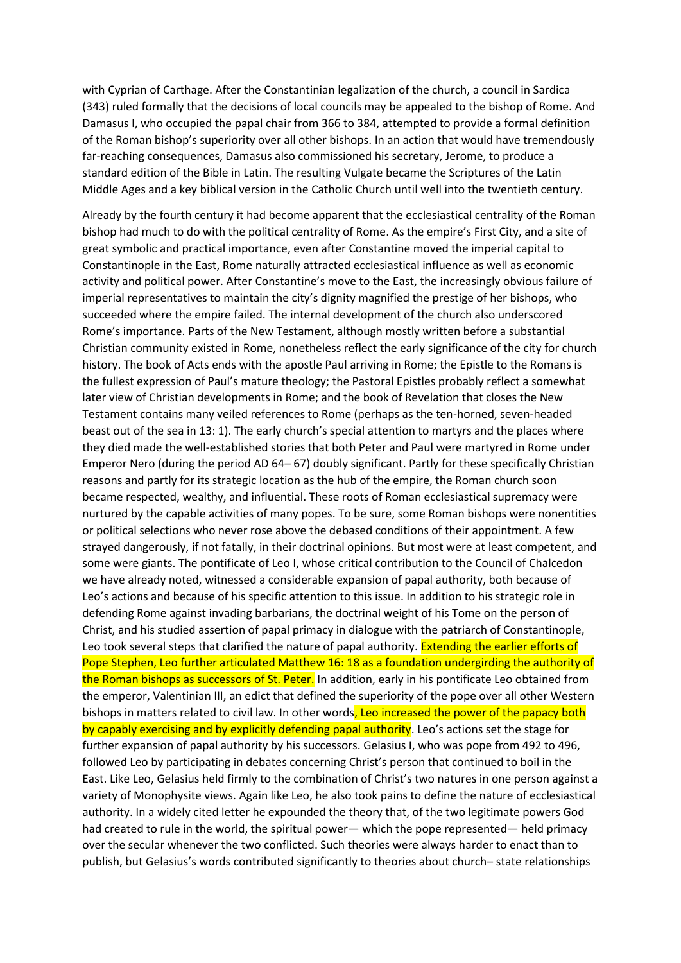with Cyprian of Carthage. After the Constantinian legalization of the church, a council in Sardica (343) ruled formally that the decisions of local councils may be appealed to the bishop of Rome. And Damasus I, who occupied the papal chair from 366 to 384, attempted to provide a formal definition of the Roman bishop's superiority over all other bishops. In an action that would have tremendously far-reaching consequences, Damasus also commissioned his secretary, Jerome, to produce a standard edition of the Bible in Latin. The resulting Vulgate became the Scriptures of the Latin Middle Ages and a key biblical version in the Catholic Church until well into the twentieth century.

Already by the fourth century it had become apparent that the ecclesiastical centrality of the Roman bishop had much to do with the political centrality of Rome. As the empire's First City, and a site of great symbolic and practical importance, even after Constantine moved the imperial capital to Constantinople in the East, Rome naturally attracted ecclesiastical influence as well as economic activity and political power. After Constantine's move to the East, the increasingly obvious failure of imperial representatives to maintain the city's dignity magnified the prestige of her bishops, who succeeded where the empire failed. The internal development of the church also underscored Rome's importance. Parts of the New Testament, although mostly written before a substantial Christian community existed in Rome, nonetheless reflect the early significance of the city for church history. The book of Acts ends with the apostle Paul arriving in Rome; the Epistle to the Romans is the fullest expression of Paul's mature theology; the Pastoral Epistles probably reflect a somewhat later view of Christian developments in Rome; and the book of Revelation that closes the New Testament contains many veiled references to Rome (perhaps as the ten-horned, seven-headed beast out of the sea in 13: 1). The early church's special attention to martyrs and the places where they died made the well-established stories that both Peter and Paul were martyred in Rome under Emperor Nero (during the period AD 64– 67) doubly significant. Partly for these specifically Christian reasons and partly for its strategic location as the hub of the empire, the Roman church soon became respected, wealthy, and influential. These roots of Roman ecclesiastical supremacy were nurtured by the capable activities of many popes. To be sure, some Roman bishops were nonentities or political selections who never rose above the debased conditions of their appointment. A few strayed dangerously, if not fatally, in their doctrinal opinions. But most were at least competent, and some were giants. The pontificate of Leo I, whose critical contribution to the Council of Chalcedon we have already noted, witnessed a considerable expansion of papal authority, both because of Leo's actions and because of his specific attention to this issue. In addition to his strategic role in defending Rome against invading barbarians, the doctrinal weight of his Tome on the person of Christ, and his studied assertion of papal primacy in dialogue with the patriarch of Constantinople, Leo took several steps that clarified the nature of papal authority. Extending the earlier efforts of Pope Stephen, Leo further articulated Matthew 16: 18 as a foundation undergirding the authority of the Roman bishops as successors of St. Peter. In addition, early in his pontificate Leo obtained from the emperor, Valentinian III, an edict that defined the superiority of the pope over all other Western bishops in matters related to civil law. In other words, Leo increased the power of the papacy both by capably exercising and by explicitly defending papal authority. Leo's actions set the stage for further expansion of papal authority by his successors. Gelasius I, who was pope from 492 to 496, followed Leo by participating in debates concerning Christ's person that continued to boil in the East. Like Leo, Gelasius held firmly to the combination of Christ's two natures in one person against a variety of Monophysite views. Again like Leo, he also took pains to define the nature of ecclesiastical authority. In a widely cited letter he expounded the theory that, of the two legitimate powers God had created to rule in the world, the spiritual power— which the pope represented— held primacy over the secular whenever the two conflicted. Such theories were always harder to enact than to publish, but Gelasius's words contributed significantly to theories about church– state relationships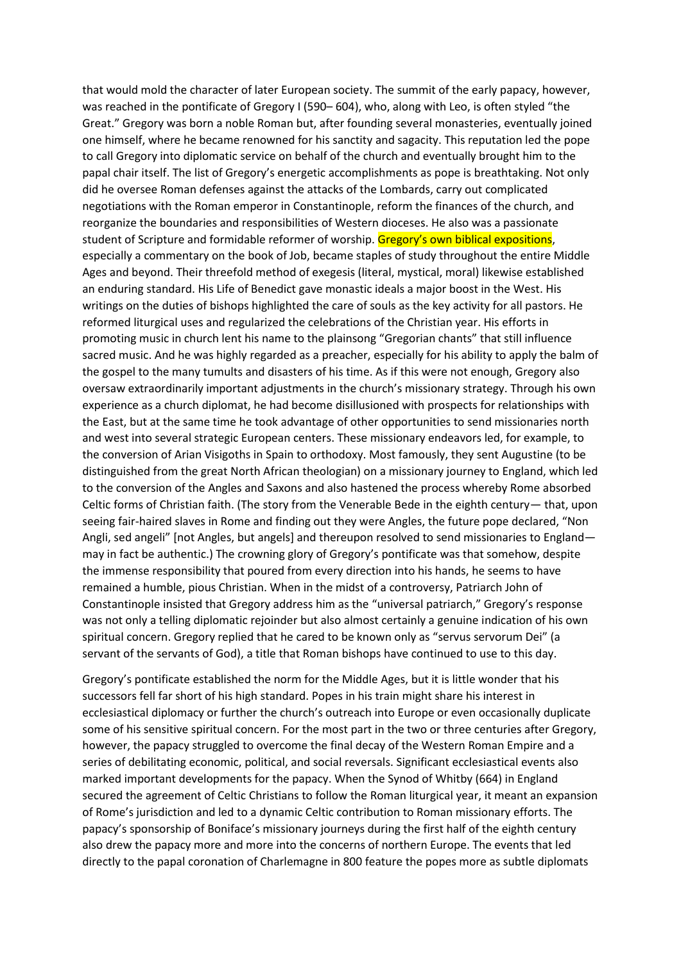that would mold the character of later European society. The summit of the early papacy, however, was reached in the pontificate of Gregory I (590– 604), who, along with Leo, is often styled "the Great." Gregory was born a noble Roman but, after founding several monasteries, eventually joined one himself, where he became renowned for his sanctity and sagacity. This reputation led the pope to call Gregory into diplomatic service on behalf of the church and eventually brought him to the papal chair itself. The list of Gregory's energetic accomplishments as pope is breathtaking. Not only did he oversee Roman defenses against the attacks of the Lombards, carry out complicated negotiations with the Roman emperor in Constantinople, reform the finances of the church, and reorganize the boundaries and responsibilities of Western dioceses. He also was a passionate student of Scripture and formidable reformer of worship. Gregory's own biblical expositions, especially a commentary on the book of Job, became staples of study throughout the entire Middle Ages and beyond. Their threefold method of exegesis (literal, mystical, moral) likewise established an enduring standard. His Life of Benedict gave monastic ideals a major boost in the West. His writings on the duties of bishops highlighted the care of souls as the key activity for all pastors. He reformed liturgical uses and regularized the celebrations of the Christian year. His efforts in promoting music in church lent his name to the plainsong "Gregorian chants" that still influence sacred music. And he was highly regarded as a preacher, especially for his ability to apply the balm of the gospel to the many tumults and disasters of his time. As if this were not enough, Gregory also oversaw extraordinarily important adjustments in the church's missionary strategy. Through his own experience as a church diplomat, he had become disillusioned with prospects for relationships with the East, but at the same time he took advantage of other opportunities to send missionaries north and west into several strategic European centers. These missionary endeavors led, for example, to the conversion of Arian Visigoths in Spain to orthodoxy. Most famously, they sent Augustine (to be distinguished from the great North African theologian) on a missionary journey to England, which led to the conversion of the Angles and Saxons and also hastened the process whereby Rome absorbed Celtic forms of Christian faith. (The story from the Venerable Bede in the eighth century— that, upon seeing fair-haired slaves in Rome and finding out they were Angles, the future pope declared, "Non Angli, sed angeli" [not Angles, but angels] and thereupon resolved to send missionaries to England may in fact be authentic.) The crowning glory of Gregory's pontificate was that somehow, despite the immense responsibility that poured from every direction into his hands, he seems to have remained a humble, pious Christian. When in the midst of a controversy, Patriarch John of Constantinople insisted that Gregory address him as the "universal patriarch," Gregory's response was not only a telling diplomatic rejoinder but also almost certainly a genuine indication of his own spiritual concern. Gregory replied that he cared to be known only as "servus servorum Dei" (a servant of the servants of God), a title that Roman bishops have continued to use to this day.

Gregory's pontificate established the norm for the Middle Ages, but it is little wonder that his successors fell far short of his high standard. Popes in his train might share his interest in ecclesiastical diplomacy or further the church's outreach into Europe or even occasionally duplicate some of his sensitive spiritual concern. For the most part in the two or three centuries after Gregory, however, the papacy struggled to overcome the final decay of the Western Roman Empire and a series of debilitating economic, political, and social reversals. Significant ecclesiastical events also marked important developments for the papacy. When the Synod of Whitby (664) in England secured the agreement of Celtic Christians to follow the Roman liturgical year, it meant an expansion of Rome's jurisdiction and led to a dynamic Celtic contribution to Roman missionary efforts. The papacy's sponsorship of Boniface's missionary journeys during the first half of the eighth century also drew the papacy more and more into the concerns of northern Europe. The events that led directly to the papal coronation of Charlemagne in 800 feature the popes more as subtle diplomats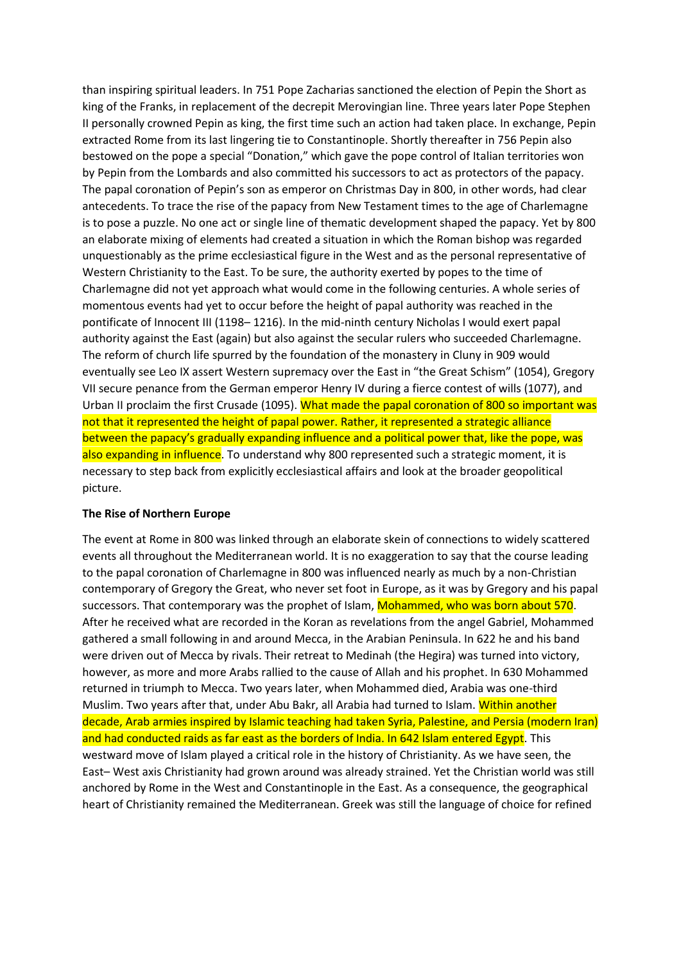than inspiring spiritual leaders. In 751 Pope Zacharias sanctioned the election of Pepin the Short as king of the Franks, in replacement of the decrepit Merovingian line. Three years later Pope Stephen II personally crowned Pepin as king, the first time such an action had taken place. In exchange, Pepin extracted Rome from its last lingering tie to Constantinople. Shortly thereafter in 756 Pepin also bestowed on the pope a special "Donation," which gave the pope control of Italian territories won by Pepin from the Lombards and also committed his successors to act as protectors of the papacy. The papal coronation of Pepin's son as emperor on Christmas Day in 800, in other words, had clear antecedents. To trace the rise of the papacy from New Testament times to the age of Charlemagne is to pose a puzzle. No one act or single line of thematic development shaped the papacy. Yet by 800 an elaborate mixing of elements had created a situation in which the Roman bishop was regarded unquestionably as the prime ecclesiastical figure in the West and as the personal representative of Western Christianity to the East. To be sure, the authority exerted by popes to the time of Charlemagne did not yet approach what would come in the following centuries. A whole series of momentous events had yet to occur before the height of papal authority was reached in the pontificate of Innocent III (1198– 1216). In the mid-ninth century Nicholas I would exert papal authority against the East (again) but also against the secular rulers who succeeded Charlemagne. The reform of church life spurred by the foundation of the monastery in Cluny in 909 would eventually see Leo IX assert Western supremacy over the East in "the Great Schism" (1054), Gregory VII secure penance from the German emperor Henry IV during a fierce contest of wills (1077), and Urban II proclaim the first Crusade (1095). What made the papal coronation of 800 so important was not that it represented the height of papal power. Rather, it represented a strategic alliance between the papacy's gradually expanding influence and a political power that, like the pope, was also expanding in influence. To understand why 800 represented such a strategic moment, it is necessary to step back from explicitly ecclesiastical affairs and look at the broader geopolitical picture.

## **The Rise of Northern Europe**

The event at Rome in 800 was linked through an elaborate skein of connections to widely scattered events all throughout the Mediterranean world. It is no exaggeration to say that the course leading to the papal coronation of Charlemagne in 800 was influenced nearly as much by a non-Christian contemporary of Gregory the Great, who never set foot in Europe, as it was by Gregory and his papal successors. That contemporary was the prophet of Islam, Mohammed, who was born about 570. After he received what are recorded in the Koran as revelations from the angel Gabriel, Mohammed gathered a small following in and around Mecca, in the Arabian Peninsula. In 622 he and his band were driven out of Mecca by rivals. Their retreat to Medinah (the Hegira) was turned into victory, however, as more and more Arabs rallied to the cause of Allah and his prophet. In 630 Mohammed returned in triumph to Mecca. Two years later, when Mohammed died, Arabia was one-third Muslim. Two years after that, under Abu Bakr, all Arabia had turned to Islam. Within another decade, Arab armies inspired by Islamic teaching had taken Syria, Palestine, and Persia (modern Iran) and had conducted raids as far east as the borders of India. In 642 Islam entered Egypt. This westward move of Islam played a critical role in the history of Christianity. As we have seen, the East– West axis Christianity had grown around was already strained. Yet the Christian world was still anchored by Rome in the West and Constantinople in the East. As a consequence, the geographical heart of Christianity remained the Mediterranean. Greek was still the language of choice for refined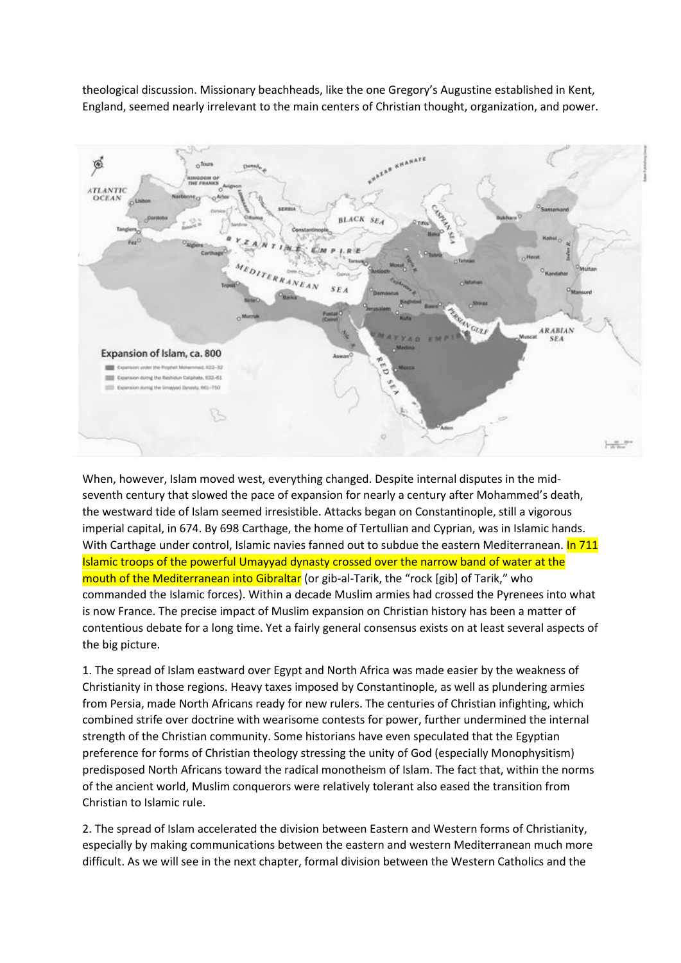theological discussion. Missionary beachheads, like the one Gregory's Augustine established in Kent, England, seemed nearly irrelevant to the main centers of Christian thought, organization, and power.



When, however, Islam moved west, everything changed. Despite internal disputes in the midseventh century that slowed the pace of expansion for nearly a century after Mohammed's death, the westward tide of Islam seemed irresistible. Attacks began on Constantinople, still a vigorous imperial capital, in 674. By 698 Carthage, the home of Tertullian and Cyprian, was in Islamic hands. With Carthage under control, Islamic navies fanned out to subdue the eastern Mediterranean. In 711 Islamic troops of the powerful Umayyad dynasty crossed over the narrow band of water at the mouth of the Mediterranean into Gibraltar (or gib-al-Tarik, the "rock [gib] of Tarik," who commanded the Islamic forces). Within a decade Muslim armies had crossed the Pyrenees into what is now France. The precise impact of Muslim expansion on Christian history has been a matter of contentious debate for a long time. Yet a fairly general consensus exists on at least several aspects of the big picture.

1. The spread of Islam eastward over Egypt and North Africa was made easier by the weakness of Christianity in those regions. Heavy taxes imposed by Constantinople, as well as plundering armies from Persia, made North Africans ready for new rulers. The centuries of Christian infighting, which combined strife over doctrine with wearisome contests for power, further undermined the internal strength of the Christian community. Some historians have even speculated that the Egyptian preference for forms of Christian theology stressing the unity of God (especially Monophysitism) predisposed North Africans toward the radical monotheism of Islam. The fact that, within the norms of the ancient world, Muslim conquerors were relatively tolerant also eased the transition from Christian to Islamic rule.

2. The spread of Islam accelerated the division between Eastern and Western forms of Christianity, especially by making communications between the eastern and western Mediterranean much more difficult. As we will see in the next chapter, formal division between the Western Catholics and the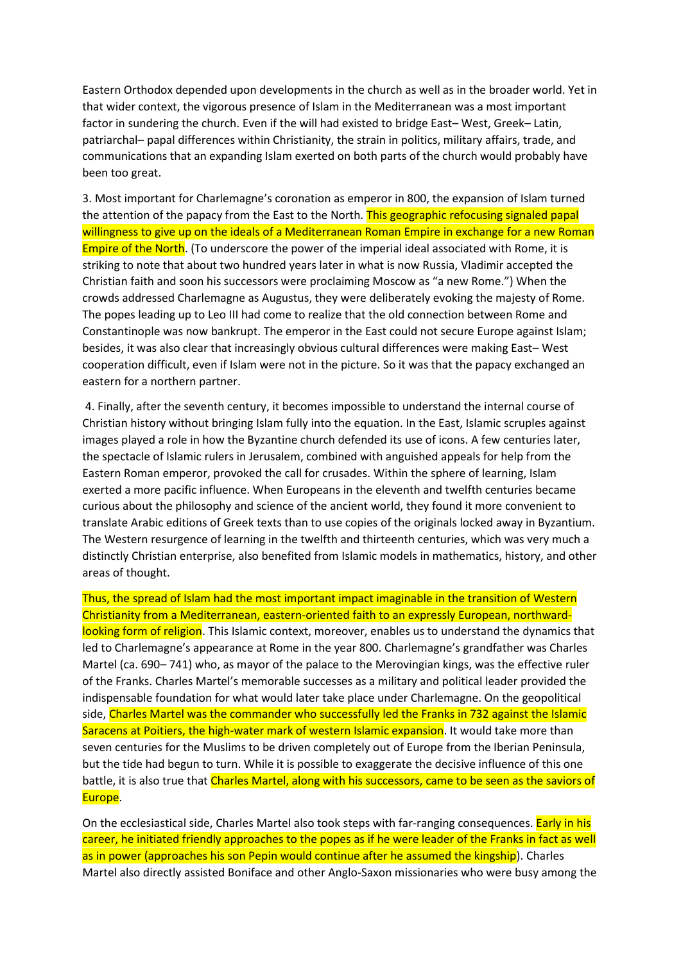Eastern Orthodox depended upon developments in the church as well as in the broader world. Yet in that wider context, the vigorous presence of Islam in the Mediterranean was a most important factor in sundering the church. Even if the will had existed to bridge East– West, Greek– Latin, patriarchal– papal differences within Christianity, the strain in politics, military affairs, trade, and communications that an expanding Islam exerted on both parts of the church would probably have been too great.

3. Most important for Charlemagne's coronation as emperor in 800, the expansion of Islam turned the attention of the papacy from the East to the North. This geographic refocusing signaled papal willingness to give up on the ideals of a Mediterranean Roman Empire in exchange for a new Roman Empire of the North. (To underscore the power of the imperial ideal associated with Rome, it is striking to note that about two hundred years later in what is now Russia, Vladimir accepted the Christian faith and soon his successors were proclaiming Moscow as "a new Rome.") When the crowds addressed Charlemagne as Augustus, they were deliberately evoking the majesty of Rome. The popes leading up to Leo III had come to realize that the old connection between Rome and Constantinople was now bankrupt. The emperor in the East could not secure Europe against Islam; besides, it was also clear that increasingly obvious cultural differences were making East– West cooperation difficult, even if Islam were not in the picture. So it was that the papacy exchanged an eastern for a northern partner.

4. Finally, after the seventh century, it becomes impossible to understand the internal course of Christian history without bringing Islam fully into the equation. In the East, Islamic scruples against images played a role in how the Byzantine church defended its use of icons. A few centuries later, the spectacle of Islamic rulers in Jerusalem, combined with anguished appeals for help from the Eastern Roman emperor, provoked the call for crusades. Within the sphere of learning, Islam exerted a more pacific influence. When Europeans in the eleventh and twelfth centuries became curious about the philosophy and science of the ancient world, they found it more convenient to translate Arabic editions of Greek texts than to use copies of the originals locked away in Byzantium. The Western resurgence of learning in the twelfth and thirteenth centuries, which was very much a distinctly Christian enterprise, also benefited from Islamic models in mathematics, history, and other areas of thought.

Thus, the spread of Islam had the most important impact imaginable in the transition of Western Christianity from a Mediterranean, eastern-oriented faith to an expressly European, northwardlooking form of religion. This Islamic context, moreover, enables us to understand the dynamics that led to Charlemagne's appearance at Rome in the year 800. Charlemagne's grandfather was Charles Martel (ca. 690– 741) who, as mayor of the palace to the Merovingian kings, was the effective ruler of the Franks. Charles Martel's memorable successes as a military and political leader provided the indispensable foundation for what would later take place under Charlemagne. On the geopolitical side, Charles Martel was the commander who successfully led the Franks in 732 against the Islamic Saracens at Poitiers, the high-water mark of western Islamic expansion. It would take more than seven centuries for the Muslims to be driven completely out of Europe from the Iberian Peninsula, but the tide had begun to turn. While it is possible to exaggerate the decisive influence of this one battle, it is also true that Charles Martel, along with his successors, came to be seen as the saviors of Europe.

On the ecclesiastical side, Charles Martel also took steps with far-ranging consequences. Early in his career, he initiated friendly approaches to the popes as if he were leader of the Franks in fact as well as in power (approaches his son Pepin would continue after he assumed the kingship). Charles Martel also directly assisted Boniface and other Anglo-Saxon missionaries who were busy among the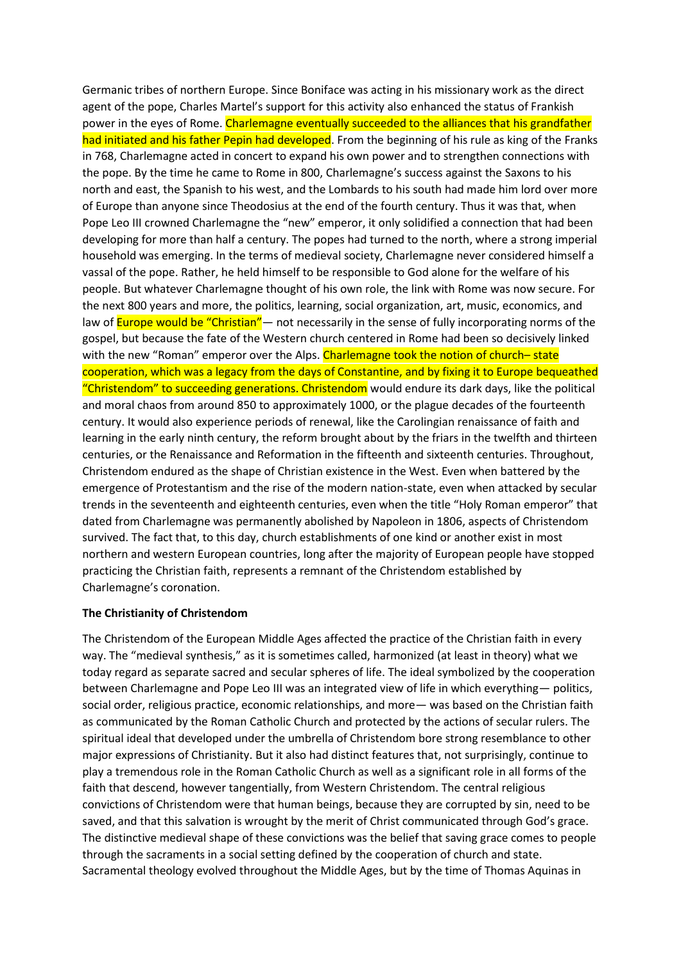Germanic tribes of northern Europe. Since Boniface was acting in his missionary work as the direct agent of the pope, Charles Martel's support for this activity also enhanced the status of Frankish power in the eyes of Rome. Charlemagne eventually succeeded to the alliances that his grandfather had initiated and his father Pepin had developed. From the beginning of his rule as king of the Franks in 768, Charlemagne acted in concert to expand his own power and to strengthen connections with the pope. By the time he came to Rome in 800, Charlemagne's success against the Saxons to his north and east, the Spanish to his west, and the Lombards to his south had made him lord over more of Europe than anyone since Theodosius at the end of the fourth century. Thus it was that, when Pope Leo III crowned Charlemagne the "new" emperor, it only solidified a connection that had been developing for more than half a century. The popes had turned to the north, where a strong imperial household was emerging. In the terms of medieval society, Charlemagne never considered himself a vassal of the pope. Rather, he held himself to be responsible to God alone for the welfare of his people. But whatever Charlemagne thought of his own role, the link with Rome was now secure. For the next 800 years and more, the politics, learning, social organization, art, music, economics, and law of **Europe would be "Christian"**— not necessarily in the sense of fully incorporating norms of the gospel, but because the fate of the Western church centered in Rome had been so decisively linked with the new "Roman" emperor over the Alps. Charlemagne took the notion of church– state cooperation, which was a legacy from the days of Constantine, and by fixing it to Europe bequeathed "Christendom" to succeeding generations. Christendom would endure its dark days, like the political and moral chaos from around 850 to approximately 1000, or the plague decades of the fourteenth century. It would also experience periods of renewal, like the Carolingian renaissance of faith and learning in the early ninth century, the reform brought about by the friars in the twelfth and thirteen centuries, or the Renaissance and Reformation in the fifteenth and sixteenth centuries. Throughout, Christendom endured as the shape of Christian existence in the West. Even when battered by the emergence of Protestantism and the rise of the modern nation-state, even when attacked by secular trends in the seventeenth and eighteenth centuries, even when the title "Holy Roman emperor" that dated from Charlemagne was permanently abolished by Napoleon in 1806, aspects of Christendom survived. The fact that, to this day, church establishments of one kind or another exist in most northern and western European countries, long after the majority of European people have stopped practicing the Christian faith, represents a remnant of the Christendom established by Charlemagne's coronation.

## **The Christianity of Christendom**

The Christendom of the European Middle Ages affected the practice of the Christian faith in every way. The "medieval synthesis," as it is sometimes called, harmonized (at least in theory) what we today regard as separate sacred and secular spheres of life. The ideal symbolized by the cooperation between Charlemagne and Pope Leo III was an integrated view of life in which everything— politics, social order, religious practice, economic relationships, and more— was based on the Christian faith as communicated by the Roman Catholic Church and protected by the actions of secular rulers. The spiritual ideal that developed under the umbrella of Christendom bore strong resemblance to other major expressions of Christianity. But it also had distinct features that, not surprisingly, continue to play a tremendous role in the Roman Catholic Church as well as a significant role in all forms of the faith that descend, however tangentially, from Western Christendom. The central religious convictions of Christendom were that human beings, because they are corrupted by sin, need to be saved, and that this salvation is wrought by the merit of Christ communicated through God's grace. The distinctive medieval shape of these convictions was the belief that saving grace comes to people through the sacraments in a social setting defined by the cooperation of church and state. Sacramental theology evolved throughout the Middle Ages, but by the time of Thomas Aquinas in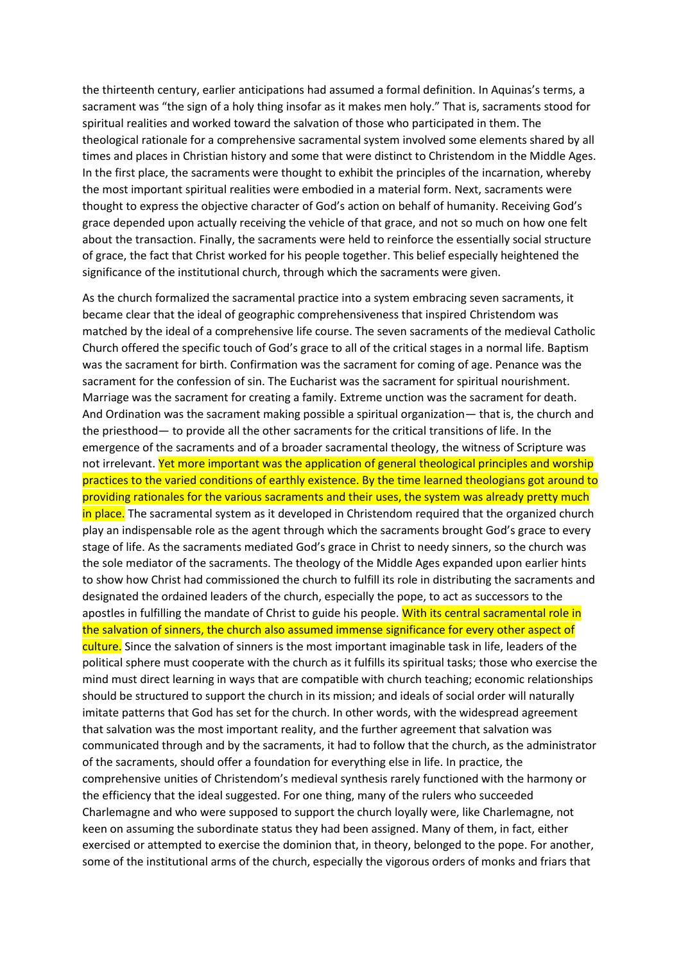the thirteenth century, earlier anticipations had assumed a formal definition. In Aquinas's terms, a sacrament was "the sign of a holy thing insofar as it makes men holy." That is, sacraments stood for spiritual realities and worked toward the salvation of those who participated in them. The theological rationale for a comprehensive sacramental system involved some elements shared by all times and places in Christian history and some that were distinct to Christendom in the Middle Ages. In the first place, the sacraments were thought to exhibit the principles of the incarnation, whereby the most important spiritual realities were embodied in a material form. Next, sacraments were thought to express the objective character of God's action on behalf of humanity. Receiving God's grace depended upon actually receiving the vehicle of that grace, and not so much on how one felt about the transaction. Finally, the sacraments were held to reinforce the essentially social structure of grace, the fact that Christ worked for his people together. This belief especially heightened the significance of the institutional church, through which the sacraments were given.

As the church formalized the sacramental practice into a system embracing seven sacraments, it became clear that the ideal of geographic comprehensiveness that inspired Christendom was matched by the ideal of a comprehensive life course. The seven sacraments of the medieval Catholic Church offered the specific touch of God's grace to all of the critical stages in a normal life. Baptism was the sacrament for birth. Confirmation was the sacrament for coming of age. Penance was the sacrament for the confession of sin. The Eucharist was the sacrament for spiritual nourishment. Marriage was the sacrament for creating a family. Extreme unction was the sacrament for death. And Ordination was the sacrament making possible a spiritual organization— that is, the church and the priesthood— to provide all the other sacraments for the critical transitions of life. In the emergence of the sacraments and of a broader sacramental theology, the witness of Scripture was not irrelevant. Yet more important was the application of general theological principles and worship practices to the varied conditions of earthly existence. By the time learned theologians got around to providing rationales for the various sacraments and their uses, the system was already pretty much in place. The sacramental system as it developed in Christendom required that the organized church play an indispensable role as the agent through which the sacraments brought God's grace to every stage of life. As the sacraments mediated God's grace in Christ to needy sinners, so the church was the sole mediator of the sacraments. The theology of the Middle Ages expanded upon earlier hints to show how Christ had commissioned the church to fulfill its role in distributing the sacraments and designated the ordained leaders of the church, especially the pope, to act as successors to the apostles in fulfilling the mandate of Christ to guide his people. With its central sacramental role in the salvation of sinners, the church also assumed immense significance for every other aspect of culture. Since the salvation of sinners is the most important imaginable task in life, leaders of the political sphere must cooperate with the church as it fulfills its spiritual tasks; those who exercise the mind must direct learning in ways that are compatible with church teaching; economic relationships should be structured to support the church in its mission; and ideals of social order will naturally imitate patterns that God has set for the church. In other words, with the widespread agreement that salvation was the most important reality, and the further agreement that salvation was communicated through and by the sacraments, it had to follow that the church, as the administrator of the sacraments, should offer a foundation for everything else in life. In practice, the comprehensive unities of Christendom's medieval synthesis rarely functioned with the harmony or the efficiency that the ideal suggested. For one thing, many of the rulers who succeeded Charlemagne and who were supposed to support the church loyally were, like Charlemagne, not keen on assuming the subordinate status they had been assigned. Many of them, in fact, either exercised or attempted to exercise the dominion that, in theory, belonged to the pope. For another, some of the institutional arms of the church, especially the vigorous orders of monks and friars that